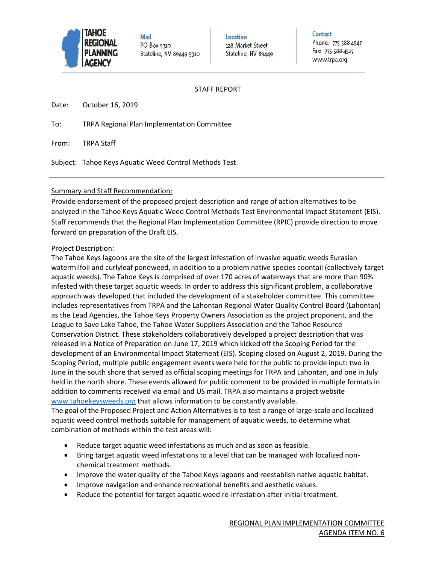

**Mail** PO Box 5310 Stateline, NV 89449-5310 Location 128 Market Street Stateline, NV 89449 Contact Phone: 775-588-4547 Fax: 775-588-4527 www.trpa.org

#### STAFF REPORT

Date: October 16, 2019

To: TRPA Regional Plan Implementation Committee

From: TRPA Staff

Subject: Tahoe Keys Aquatic Weed Control Methods Test

#### Summary and Staff Recommendation:

Provide endorsement of the proposed project description and range of action alternatives to be analyzed in the Tahoe Keys Aquatic Weed Control Methods Test Environmental Impact Statement (EIS). Staff recommends that the Regional Plan Implementation Committee (RPIC) provide direction to move forward on preparation of the Draft EIS.

#### Project Description:

The Tahoe Keys lagoons are the site of the largest infestation of invasive aquatic weeds Eurasian watermilfoil and curlyleaf pondweed, in addition to a problem native species coontail (collectively target aquatic weeds). The Tahoe Keys is comprised of over 170 acres of waterways that are more than 90% infested with these target aquatic weeds. In order to address this significant problem, a collaborative approach was developed that included the development of a stakeholder committee. This committee includes representatives from TRPA and the Lahontan Regional Water Quality Control Board (Lahontan) as the Lead Agencies, the Tahoe Keys Property Owners Association as the project proponent, and the League to Save Lake Tahoe, the Tahoe Water Suppliers Association and the Tahoe Resource Conservation District. These stakeholders collaboratively developed a project description that was released in a Notice of Preparation on June 17, 2019 which kicked off the Scoping Period for the development of an Environmental Impact Statement (EIS). Scoping closed on August 2, 2019. During the Scoping Period, multiple public engagement events were held for the public to provide input: two in June in the south shore that served as official scoping meetings for TRPA and Lahontan, and one in July held in the north shore. These events allowed for public comment to be provided in multiple formats in addition to comments received via email and US mail. TRPA also maintains a project website [www.tahoekeysweeds.org](http://www.tahoekeysweeds.org/) that allows information to be constantly available.

The goal of the Proposed Project and Action Alternatives is to test a range of large-scale and localized aquatic weed control methods suitable for management of aquatic weeds, to determine what combination of methods within the test areas will:

- Reduce target aquatic weed infestations as much and as soon as feasible.
- Bring target aquatic weed infestations to a level that can be managed with localized nonchemical treatment methods.
- Improve the water quality of the Tahoe Keys lagoons and reestablish native aquatic habitat.
- Improve navigation and enhance recreational benefits and aesthetic values.
- Reduce the potential for target aquatic weed re-infestation after initial treatment.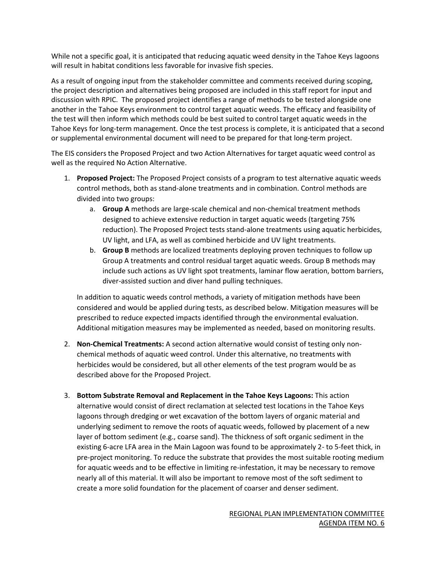While not a specific goal, it is anticipated that reducing aquatic weed density in the Tahoe Keys lagoons will result in habitat conditions less favorable for invasive fish species.

As a result of ongoing input from the stakeholder committee and comments received during scoping, the project description and alternatives being proposed are included in this staff report for input and discussion with RPIC. The proposed project identifies a range of methods to be tested alongside one another in the Tahoe Keys environment to control target aquatic weeds. The efficacy and feasibility of the test will then inform which methods could be best suited to control target aquatic weeds in the Tahoe Keys for long-term management. Once the test process is complete, it is anticipated that a second or supplemental environmental document will need to be prepared for that long-term project.

The EIS considers the Proposed Project and two Action Alternatives for target aquatic weed control as well as the required No Action Alternative.

- 1. **Proposed Project:** The Proposed Project consists of a program to test alternative aquatic weeds control methods, both as stand-alone treatments and in combination. Control methods are divided into two groups:
	- a. **Group A** methods are large-scale chemical and non-chemical treatment methods designed to achieve extensive reduction in target aquatic weeds (targeting 75% reduction). The Proposed Project tests stand-alone treatments using aquatic herbicides, UV light, and LFA, as well as combined herbicide and UV light treatments.
	- b. **Group B** methods are localized treatments deploying proven techniques to follow up Group A treatments and control residual target aquatic weeds. Group B methods may include such actions as UV light spot treatments, laminar flow aeration, bottom barriers, diver-assisted suction and diver hand pulling techniques.

In addition to aquatic weeds control methods, a variety of mitigation methods have been considered and would be applied during tests, as described below. Mitigation measures will be prescribed to reduce expected impacts identified through the environmental evaluation. Additional mitigation measures may be implemented as needed, based on monitoring results.

- 2. **Non-Chemical Treatments:** A second action alternative would consist of testing only nonchemical methods of aquatic weed control. Under this alternative, no treatments with herbicides would be considered, but all other elements of the test program would be as described above for the Proposed Project.
- 3. **Bottom Substrate Removal and Replacement in the Tahoe Keys Lagoons:** This action alternative would consist of direct reclamation at selected test locations in the Tahoe Keys lagoons through dredging or wet excavation of the bottom layers of organic material and underlying sediment to remove the roots of aquatic weeds, followed by placement of a new layer of bottom sediment (e.g., coarse sand). The thickness of soft organic sediment in the existing 6-acre LFA area in the Main Lagoon was found to be approximately 2- to 5-feet thick, in pre-project monitoring. To reduce the substrate that provides the most suitable rooting medium for aquatic weeds and to be effective in limiting re-infestation, it may be necessary to remove nearly all of this material. It will also be important to remove most of the soft sediment to create a more solid foundation for the placement of coarser and denser sediment.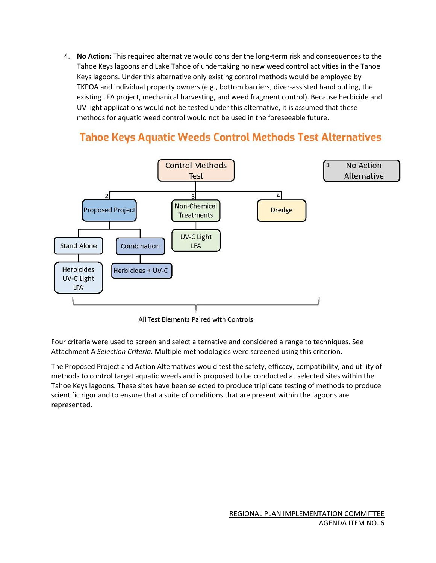4. **No Action:** This required alternative would consider the long-term risk and consequences to the Tahoe Keys lagoons and Lake Tahoe of undertaking no new weed control activities in the Tahoe Keys lagoons. Under this alternative only existing control methods would be employed by TKPOA and individual property owners (e.g., bottom barriers, diver-assisted hand pulling, the existing LFA project, mechanical harvesting, and weed fragment control). Because herbicide and UV light applications would not be tested under this alternative, it is assumed that these methods for aquatic weed control would not be used in the foreseeable future.



# **Tahoe Keys Aquatic Weeds Control Methods Test Alternatives**

All Test Elements Paired with Controls

Four criteria were used to screen and select alternative and considered a range to techniques. See Attachment A *Selection Criteria.* Multiple methodologies were screened using this criterion.

The Proposed Project and Action Alternatives would test the safety, efficacy, compatibility, and utility of methods to control target aquatic weeds and is proposed to be conducted at selected sites within the Tahoe Keys lagoons. These sites have been selected to produce triplicate testing of methods to produce scientific rigor and to ensure that a suite of conditions that are present within the lagoons are represented.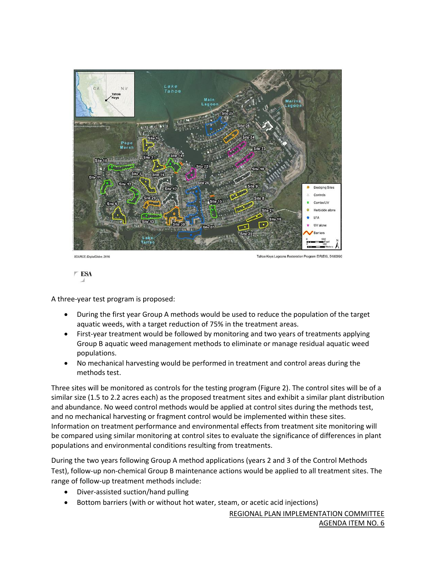



A three-year test program is proposed:

- During the first year Group A methods would be used to reduce the population of the target aquatic weeds, with a target reduction of 75% in the treatment areas.
- First-year treatment would be followed by monitoring and two years of treatments applying Group B aquatic weed management methods to eliminate or manage residual aquatic weed populations.
- No mechanical harvesting would be performed in treatment and control areas during the methods test.

Three sites will be monitored as controls for the testing program (Figure 2). The control sites will be of a similar size (1.5 to 2.2 acres each) as the proposed treatment sites and exhibit a similar plant distribution and abundance. No weed control methods would be applied at control sites during the methods test, and no mechanical harvesting or fragment control would be implemented within these sites. Information on treatment performance and environmental effects from treatment site monitoring will be compared using similar monitoring at control sites to evaluate the significance of differences in plant populations and environmental conditions resulting from treatments.

During the two years following Group A method applications (years 2 and 3 of the Control Methods Test), follow-up non-chemical Group B maintenance actions would be applied to all treatment sites. The range of follow-up treatment methods include:

- Diver-assisted suction/hand pulling
- Bottom barriers (with or without hot water, steam, or acetic acid injections)

REGIONAL PLAN IMPLEMENTATION COMMITTEE AGENDA ITEM NO. 6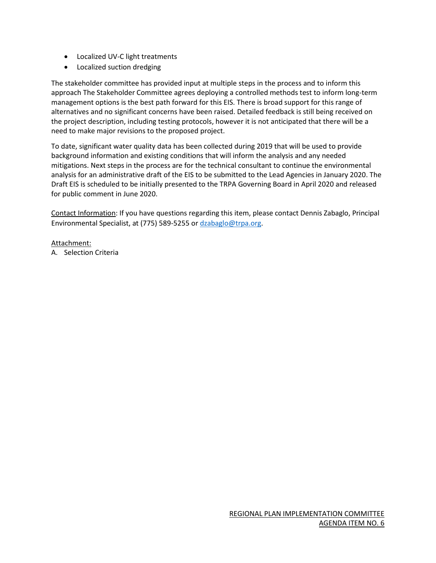- Localized UV-C light treatments
- Localized suction dredging

The stakeholder committee has provided input at multiple steps in the process and to inform this approach The Stakeholder Committee agrees deploying a controlled methods test to inform long-term management options is the best path forward for this EIS. There is broad support for this range of alternatives and no significant concerns have been raised. Detailed feedback is still being received on the project description, including testing protocols, however it is not anticipated that there will be a need to make major revisions to the proposed project.

To date, significant water quality data has been collected during 2019 that will be used to provide background information and existing conditions that will inform the analysis and any needed mitigations. Next steps in the process are for the technical consultant to continue the environmental analysis for an administrative draft of the EIS to be submitted to the Lead Agencies in January 2020. The Draft EIS is scheduled to be initially presented to the TRPA Governing Board in April 2020 and released for public comment in June 2020.

Contact Information: If you have questions regarding this item, please contact Dennis Zabaglo, Principal Environmental Specialist, at (775) 589-5255 or [dzabaglo@trpa.org.](mailto:dzabaglo@trpa.org)

#### Attachment:

A. Selection Criteria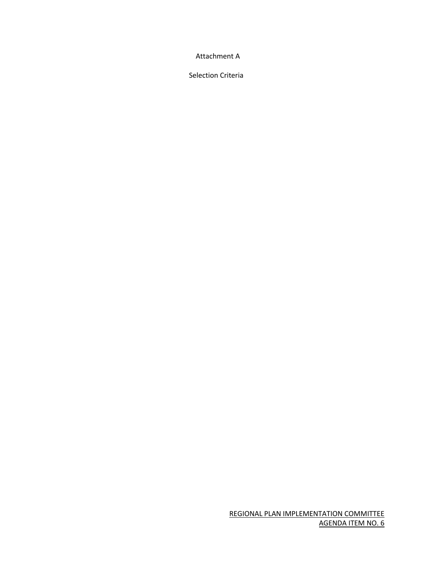Attachment A

Selection Criteria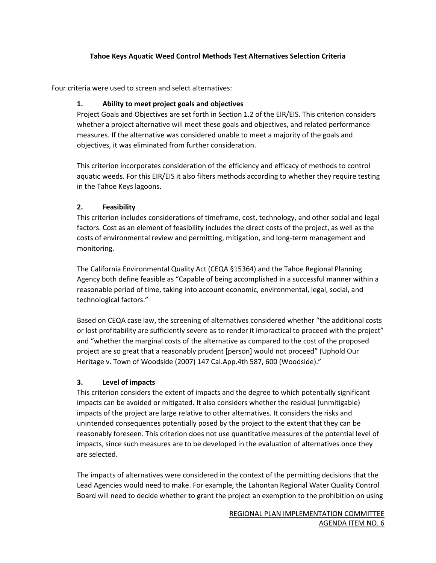#### **Tahoe Keys Aquatic Weed Control Methods Test Alternatives Selection Criteria**

Four criteria were used to screen and select alternatives:

# **1. Ability to meet project goals and objectives**

Project Goals and Objectives are set forth in Section 1.2 of the EIR/EIS. This criterion considers whether a project alternative will meet these goals and objectives, and related performance measures. If the alternative was considered unable to meet a majority of the goals and objectives, it was eliminated from further consideration.

This criterion incorporates consideration of the efficiency and efficacy of methods to control aquatic weeds. For this EIR/EIS it also filters methods according to whether they require testing in the Tahoe Keys lagoons.

# **2. Feasibility**

This criterion includes considerations of timeframe, cost, technology, and other social and legal factors. Cost as an element of feasibility includes the direct costs of the project, as well as the costs of environmental review and permitting, mitigation, and long-term management and monitoring.

The California Environmental Quality Act (CEQA §15364) and the Tahoe Regional Planning Agency both define feasible as "Capable of being accomplished in a successful manner within a reasonable period of time, taking into account economic, environmental, legal, social, and technological factors."

Based on CEQA case law, the screening of alternatives considered whether "the additional costs or lost profitability are sufficiently severe as to render it impractical to proceed with the project" and "whether the marginal costs of the alternative as compared to the cost of the proposed project are so great that a reasonably prudent [person] would not proceed" (Uphold Our Heritage v. Town of Woodside (2007) 147 Cal.App.4th 587, 600 (Woodside)."

# **3. Level of impacts**

This criterion considers the extent of impacts and the degree to which potentially significant impacts can be avoided or mitigated. It also considers whether the residual (unmitigable) impacts of the project are large relative to other alternatives. It considers the risks and unintended consequences potentially posed by the project to the extent that they can be reasonably foreseen. This criterion does not use quantitative measures of the potential level of impacts, since such measures are to be developed in the evaluation of alternatives once they are selected.

The impacts of alternatives were considered in the context of the permitting decisions that the Lead Agencies would need to make. For example, the Lahontan Regional Water Quality Control Board will need to decide whether to grant the project an exemption to the prohibition on using

> REGIONAL PLAN IMPLEMENTATION COMMITTEE AGENDA ITEM NO. 6